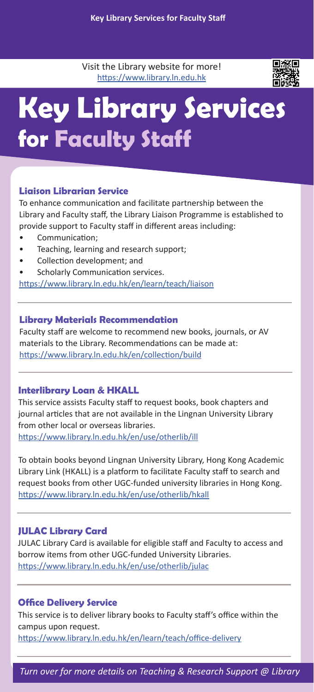Visit the Library website for more! https://www.library.ln.edu.hk



## **Key Library Services for Faculty Staff**

### **Liaison Librarian Service**

To enhance communication and facilitate partnership between the Library and Faculty staff, the Library Liaison Programme is established to provide support to Faculty staff in different areas including:

- Communication;
- Teaching, learning and research support;
- Collection development; and
- Scholarly Communication services.

https://www.library.ln.edu.hk/en/learn/teach/liaison

### **Library Materials Recommendation**

Faculty staff are welcome to recommend new books, journals, or AV materials to the Library. Recommendations can be made at: https://www.library.ln.edu.hk/en/collection/build

### **Interlibrary Loan & HKALL**

This service assists Faculty staff to request books, book chapters and journal articles that are not available in the Lingnan University Library from other local or overseas libraries. https://www.library.ln.edu.hk/en/use/otherlib/ill

To obtain books beyond Lingnan University Library, Hong Kong Academic Library Link (HKALL) is a platform to facilitate Faculty staff to search and request books from other UGC-funded university libraries in Hong Kong. https://www.library.ln.edu.hk/en/use/otherlib/hkall

### **JULAC Library Card**

JULAC Library Card is available for eligible staff and Faculty to access and borrow items from other UGC-funded University Libraries. https://www.library.ln.edu.hk/en/use/otherlib/julac

### **Office Delivery Service**

This service is to deliver library books to Faculty staff's office within the campus upon request.

https://www.library.ln.edu.hk/en/learn/teach/office-delivery